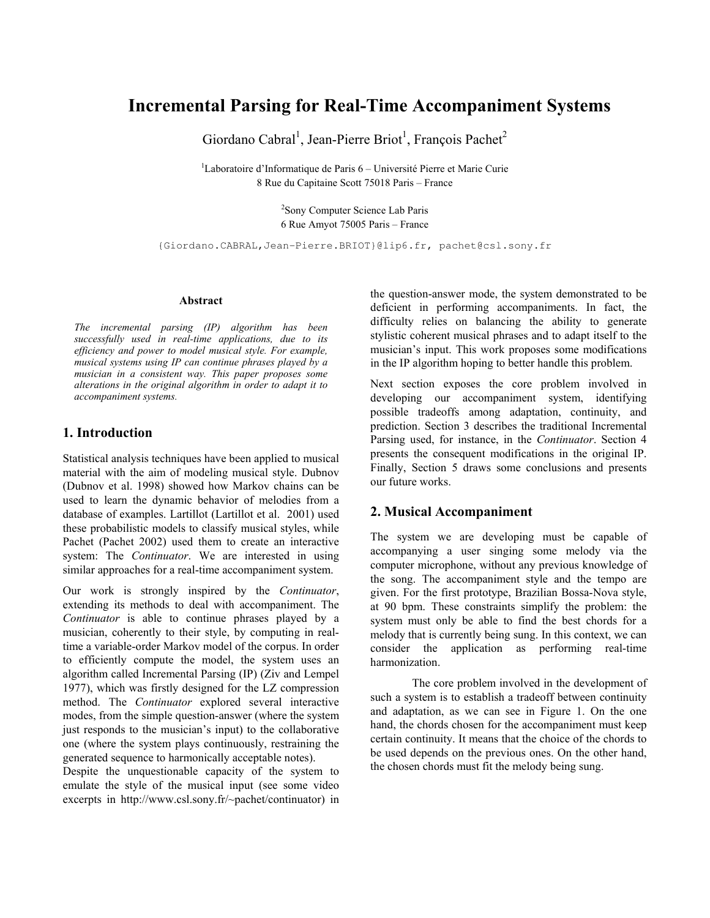# Incremental Parsing for Real-Time Accompaniment Systems

Giordano Cabral<sup>1</sup>, Jean-Pierre Briot<sup>1</sup>, François Pachet<sup>2</sup>

 $1$ Laboratoire d'Informatique de Paris  $6$  – Université Pierre et Marie Curie 8 Rue du Capitaine Scott 75018 Paris – France

> 2 Sony Computer Science Lab Paris 6 Rue Amyot 75005 Paris – France

{Giordano.CABRAL,Jean-Pierre.BRIOT}@lip6.fr, pachet@csl.sony.fr

#### Abstract

The incremental parsing (IP) algorithm has been successfully used in real-time applications, due to its efficiency and power to model musical style. For example, musical systems using IP can continue phrases played by a musician in a consistent way. This paper proposes some alterations in the original algorithm in order to adapt it to accompaniment systems.

# 1. Introduction

Statistical analysis techniques have been applied to musical material with the aim of modeling musical style. Dubnov (Dubnov et al. 1998) showed how Markov chains can be used to learn the dynamic behavior of melodies from a database of examples. Lartillot (Lartillot et al. 2001) used these probabilistic models to classify musical styles, while Pachet (Pachet 2002) used them to create an interactive system: The Continuator. We are interested in using similar approaches for a real-time accompaniment system.

Our work is strongly inspired by the Continuator, extending its methods to deal with accompaniment. The Continuator is able to continue phrases played by a musician, coherently to their style, by computing in realtime a variable-order Markov model of the corpus. In order to efficiently compute the model, the system uses an algorithm called Incremental Parsing (IP) (Ziv and Lempel 1977), which was firstly designed for the LZ compression method. The Continuator explored several interactive modes, from the simple question-answer (where the system just responds to the musician's input) to the collaborative one (where the system plays continuously, restraining the generated sequence to harmonically acceptable notes).

Despite the unquestionable capacity of the system to emulate the style of the musical input (see some video excerpts in http://www.csl.sony.fr/~pachet/continuator) in the question-answer mode, the system demonstrated to be deficient in performing accompaniments. In fact, the difficulty relies on balancing the ability to generate stylistic coherent musical phrases and to adapt itself to the musician's input. This work proposes some modifications in the IP algorithm hoping to better handle this problem.

Next section exposes the core problem involved in developing our accompaniment system, identifying possible tradeoffs among adaptation, continuity, and prediction. Section 3 describes the traditional Incremental Parsing used, for instance, in the Continuator. Section 4 presents the consequent modifications in the original IP. Finally, Section 5 draws some conclusions and presents our future works.

#### 2. Musical Accompaniment

The system we are developing must be capable of accompanying a user singing some melody via the computer microphone, without any previous knowledge of the song. The accompaniment style and the tempo are given. For the first prototype, Brazilian Bossa-Nova style, at 90 bpm. These constraints simplify the problem: the system must only be able to find the best chords for a melody that is currently being sung. In this context, we can consider the application as performing real-time harmonization.

 The core problem involved in the development of such a system is to establish a tradeoff between continuity and adaptation, as we can see in Figure 1. On the one hand, the chords chosen for the accompaniment must keep certain continuity. It means that the choice of the chords to be used depends on the previous ones. On the other hand, the chosen chords must fit the melody being sung.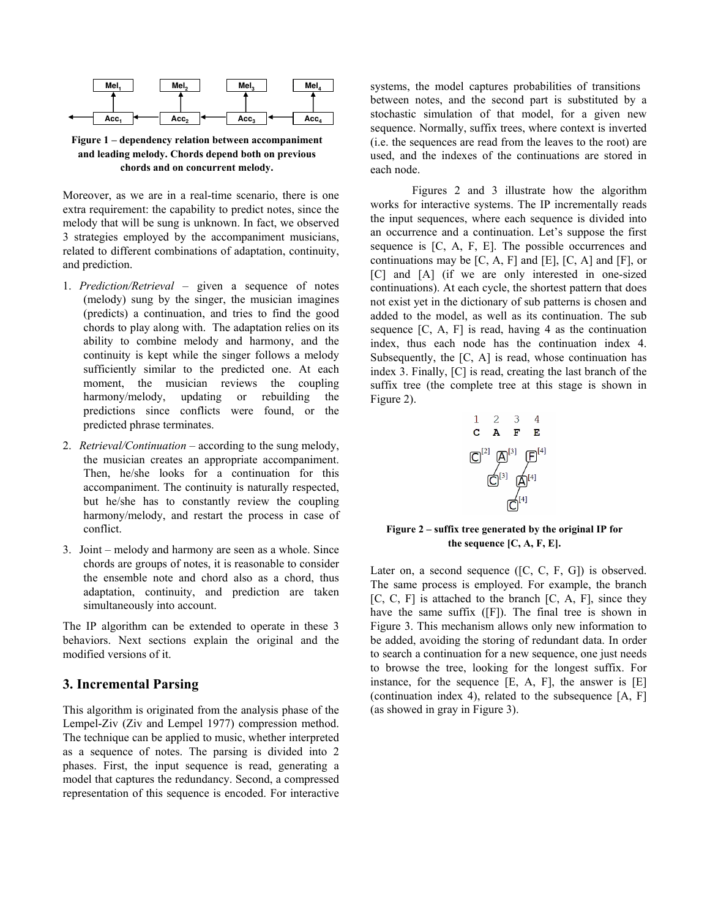

Figure 1 – dependency relation between accompaniment and leading melody. Chords depend both on previous chords and on concurrent melody.

Moreover, as we are in a real-time scenario, there is one extra requirement: the capability to predict notes, since the melody that will be sung is unknown. In fact, we observed 3 strategies employed by the accompaniment musicians, related to different combinations of adaptation, continuity, and prediction.

- 1. Prediction/Retrieval given a sequence of notes (melody) sung by the singer, the musician imagines (predicts) a continuation, and tries to find the good chords to play along with. The adaptation relies on its ability to combine melody and harmony, and the continuity is kept while the singer follows a melody sufficiently similar to the predicted one. At each moment, the musician reviews the coupling harmony/melody, updating or rebuilding the predictions since conflicts were found, or the predicted phrase terminates.
- 2. Retrieval/Continuation according to the sung melody, the musician creates an appropriate accompaniment. Then, he/she looks for a continuation for this accompaniment. The continuity is naturally respected, but he/she has to constantly review the coupling harmony/melody, and restart the process in case of conflict.
- 3. Joint melody and harmony are seen as a whole. Since chords are groups of notes, it is reasonable to consider the ensemble note and chord also as a chord, thus adaptation, continuity, and prediction are taken simultaneously into account.

The IP algorithm can be extended to operate in these 3 behaviors. Next sections explain the original and the modified versions of it.

#### 3. Incremental Parsing

This algorithm is originated from the analysis phase of the Lempel-Ziv (Ziv and Lempel 1977) compression method. The technique can be applied to music, whether interpreted as a sequence of notes. The parsing is divided into 2 phases. First, the input sequence is read, generating a model that captures the redundancy. Second, a compressed representation of this sequence is encoded. For interactive systems, the model captures probabilities of transitions between notes, and the second part is substituted by a stochastic simulation of that model, for a given new sequence. Normally, suffix trees, where context is inverted (i.e. the sequences are read from the leaves to the root) are used, and the indexes of the continuations are stored in each node.

 Figures 2 and 3 illustrate how the algorithm works for interactive systems. The IP incrementally reads the input sequences, where each sequence is divided into an occurrence and a continuation. Let's suppose the first sequence is [C, A, F, E]. The possible occurrences and continuations may be  $[C, A, F]$  and  $[E]$ ,  $[C, A]$  and  $[F]$ , or [C] and [A] (if we are only interested in one-sized continuations). At each cycle, the shortest pattern that does not exist yet in the dictionary of sub patterns is chosen and added to the model, as well as its continuation. The sub sequence  $[C, A, F]$  is read, having 4 as the continuation index, thus each node has the continuation index 4. Subsequently, the  $[C, A]$  is read, whose continuation has index 3. Finally, [C] is read, creating the last branch of the suffix tree (the complete tree at this stage is shown in Figure 2).



Figure 2 – suffix tree generated by the original IP for the sequence [C, A, F, E].

Later on, a second sequence ([C, C, F, G]) is observed. The same process is employed. For example, the branch  $[C, C, F]$  is attached to the branch  $[C, A, F]$ , since they have the same suffix ([F]). The final tree is shown in Figure 3. This mechanism allows only new information to be added, avoiding the storing of redundant data. In order to search a continuation for a new sequence, one just needs to browse the tree, looking for the longest suffix. For instance, for the sequence [E, A, F], the answer is [E] (continuation index 4), related to the subsequence [A, F] (as showed in gray in Figure 3).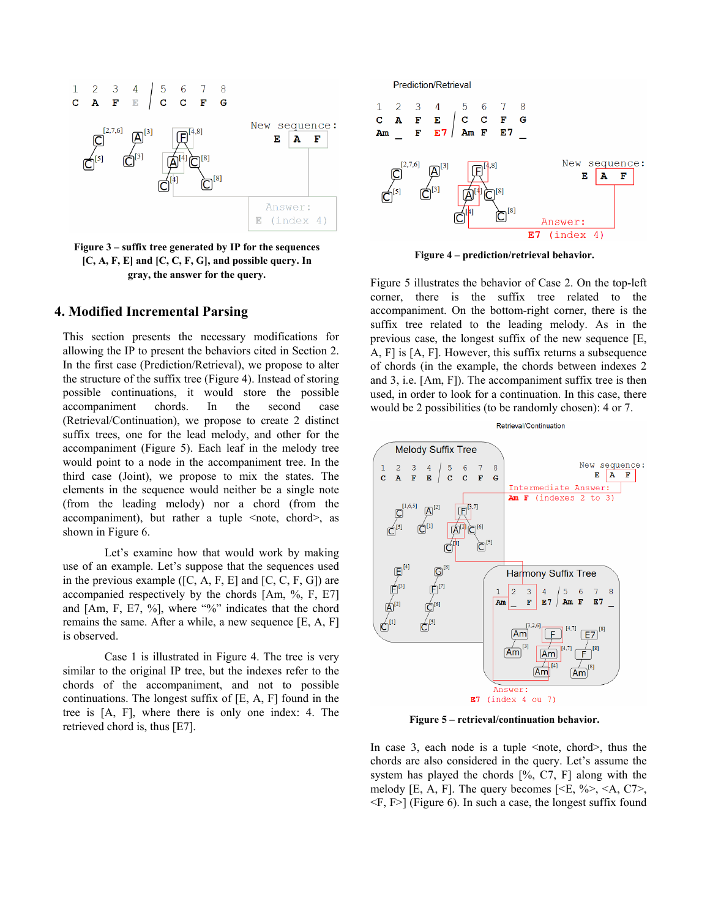

Figure 3 – suffix tree generated by IP for the sequences  $[C, A, F, E]$  and  $[C, C, F, G]$ , and possible query. In gray, the answer for the query.

## 4. Modified Incremental Parsing

This section presents the necessary modifications for allowing the IP to present the behaviors cited in Section 2. In the first case (Prediction/Retrieval), we propose to alter the structure of the suffix tree (Figure 4). Instead of storing possible continuations, it would store the possible accompaniment chords. In the second case (Retrieval/Continuation), we propose to create 2 distinct suffix trees, one for the lead melody, and other for the accompaniment (Figure 5). Each leaf in the melody tree would point to a node in the accompaniment tree. In the third case (Joint), we propose to mix the states. The elements in the sequence would neither be a single note (from the leading melody) nor a chord (from the accompaniment), but rather a tuple  $\leq$  note, chord $\geq$ , as shown in Figure 6.

 Let's examine how that would work by making use of an example. Let's suppose that the sequences used in the previous example  $([C, A, F, E]$  and  $[C, C, F, G]$ ) are accompanied respectively by the chords [Am, %, F, E7] and [Am, F, E7, %], where "%" indicates that the chord remains the same. After a while, a new sequence [E, A, F] is observed.

 Case 1 is illustrated in Figure 4. The tree is very similar to the original IP tree, but the indexes refer to the chords of the accompaniment, and not to possible continuations. The longest suffix of [E, A, F] found in the tree is [A, F], where there is only one index: 4. The retrieved chord is, thus [E7].



Figure 4 – prediction/retrieval behavior.

Figure 5 illustrates the behavior of Case 2. On the top-left corner, there is the suffix tree related to the accompaniment. On the bottom-right corner, there is the suffix tree related to the leading melody. As in the previous case, the longest suffix of the new sequence [E, A, F] is [A, F]. However, this suffix returns a subsequence of chords (in the example, the chords between indexes 2 and 3, i.e. [Am, F]). The accompaniment suffix tree is then used, in order to look for a continuation. In this case, there would be 2 possibilities (to be randomly chosen): 4 or 7.



In case 3, each node is a tuple  $\leq$  note, chord $\geq$ , thus the chords are also considered in the query. Let's assume the system has played the chords  $[% \n, C7, F]$  along with the melody [E, A, F]. The query becomes  $\leq$   $\leq$   $\leq$   $\leq$   $\leq$   $\leq$   $\leq$   $\leq$   $\leq$   $\leq$   $\leq$   $\leq$   $\leq$   $\leq$   $\leq$   $\leq$   $\leq$   $\leq$   $\leq$   $\leq$   $\leq$   $\leq$   $\leq$   $\leq$   $\leq$   $\leq$   $\leq$   $\leq$   $\leq$   $\leq$   $\leq$  $\leq$ F, F $>$ ] (Figure 6). In such a case, the longest suffix found